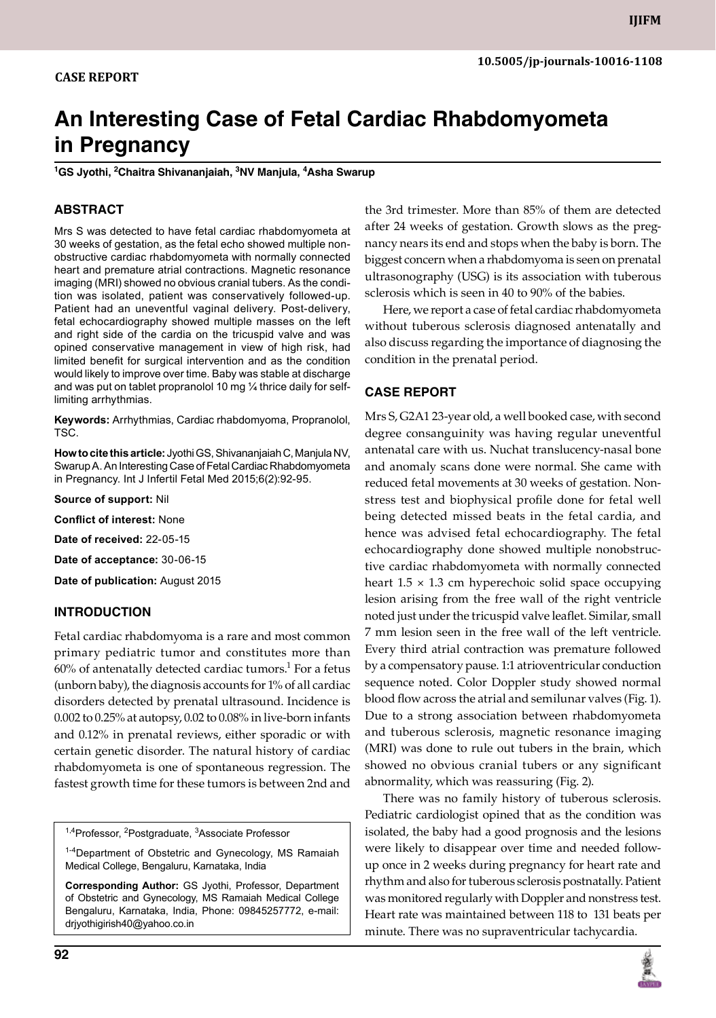# **An Interesting Case of Fetal Cardiac Rhabdomyometa in Pregnancy**

**1 Gs Jyothi, 2 Chaitra Shivananjaiah, 3 NV Manjula, 4 Asha Swarup**

# **ABSTRACT**

Mrs S was detected to have fetal cardiac rhabdomyometa at 30 weeks of gestation, as the fetal echo showed multiple nonobstructive cardiac rhabdomyometa with normally connected heart and premature atrial contractions. Magnetic resonance imaging (MRI) showed no obvious cranial tubers. As the condition was isolated, patient was conservatively followed-up. Patient had an uneventful vaginal delivery. Post-delivery, fetal echocardiography showed multiple masses on the left and right side of the cardia on the tricuspid valve and was opined conservative management in view of high risk, had limited benefit for surgical intervention and as the condition would likely to improve over time. Baby was stable at discharge and was put on tablet propranolol 10 mg ¼ thrice daily for selflimiting arrhythmias.

**Keywords:** arrhythmias, Cardiac rhabdomyoma, Propranolol, TSC.

**How to cite this article:** Jyothi Gs, Shivananjaiah C, Manjula Nv, Swarup A. An Interesting Case of Fetal Cardiac Rhabdomyometa in Pregnancy. Int J Infertil Fetal Med 2015;6(2):92-95.

**Source of support:** Nil

**Conflict of interest:** None

**Date of received:** 22-05-15

**Date of acceptance:** 30-06-15

**Date of publication:** August 2015

#### **Introduction**

Fetal cardiac rhabdomyoma is a rare and most common primary pediatric tumor and constitutes more than 60% of antenatally detected cardiac tumors. $^1$  For a fetus (unborn baby), the diagnosis accounts for 1% of all cardiac disorders detected by prenatal ultrasound. Incidence is 0.002 to 0.25% at autopsy, 0.02 to 0.08% in live-born infants and 0.12% in prenatal reviews, either sporadic or with certain genetic disorder. The natural history of cardiac rhabdomyometa is one of spontaneous regression. The fastest growth time for these tumors is between 2nd and

<sup>1,4</sup>Professor, <sup>2</sup>Postgraduate, <sup>3</sup>Associate Professor

<sup>1-4</sup>Department of Obstetric and Gynecology, MS Ramaiah Medical College, Bengaluru, Karnataka, India

**Corresponding Author:** Gs Jyothi, Professor, Department of Obstetric and Gynecology, MS Ramaiah Medical College Bengaluru, Karnataka, India, Phone: 09845257772, e-mail: drjyothigirish40@yahoo.co.in

the 3rd trimester. More than 85% of them are detected after 24 weeks of gestation. Growth slows as the pregnancy nears its end and stops when the baby is born. The biggest concern when a rhabdomyoma is seen on prenatal ultrasonography (USG) is its association with tuberous sclerosis which is seen in 40 to 90% of the babies.

Here, we report a case of fetal cardiac rhabdomyometa without tuberous sclerosis diagnosed antenatally and also discuss regarding the importance of diagnosing the condition in the prenatal period.

#### **CASE REPORT**

Mrs S, G2A1 23-year old, a well booked case, with second degree consanguinity was having regular uneventful antenatal care with us. Nuchat translucency-nasal bone and anomaly scans done were normal. She came with reduced fetal movements at 30 weeks of gestation. Nonstress test and biophysical profile done for fetal well being detected missed beats in the fetal cardia, and hence was advised fetal echocardiography. The fetal echocardiography done showed multiple nonobstructive cardiac rhabdomyometa with normally connected heart  $1.5 \times 1.3$  cm hyperechoic solid space occupying lesion arising from the free wall of the right ventricle noted just under the tricuspid valve leaflet. Similar, small 7 mm lesion seen in the free wall of the left ventricle. Every third atrial contraction was premature followed by a compensatory pause. 1:1 atrioventricular conduction sequence noted. Color Doppler study showed normal blood flow across the atrial and semilunar valves (Fig. 1). Due to a strong association between rhabdomyometa and tuberous sclerosis, magnetic resonance imaging (MRI) was done to rule out tubers in the brain, which showed no obvious cranial tubers or any significant abnormality, which was reassuring (Fig. 2).

There was no family history of tuberous sclerosis. Pediatric cardiologist opined that as the condition was isolated, the baby had a good prognosis and the lesions were likely to disappear over time and needed followup once in 2 weeks during pregnancy for heart rate and rhythm and also for tuberous sclerosis postnatally. Patient was monitored regularly with Doppler and nonstress test. Heart rate was maintained between 118 to 131 beats per minute. There was no supraventricular tachycardia.

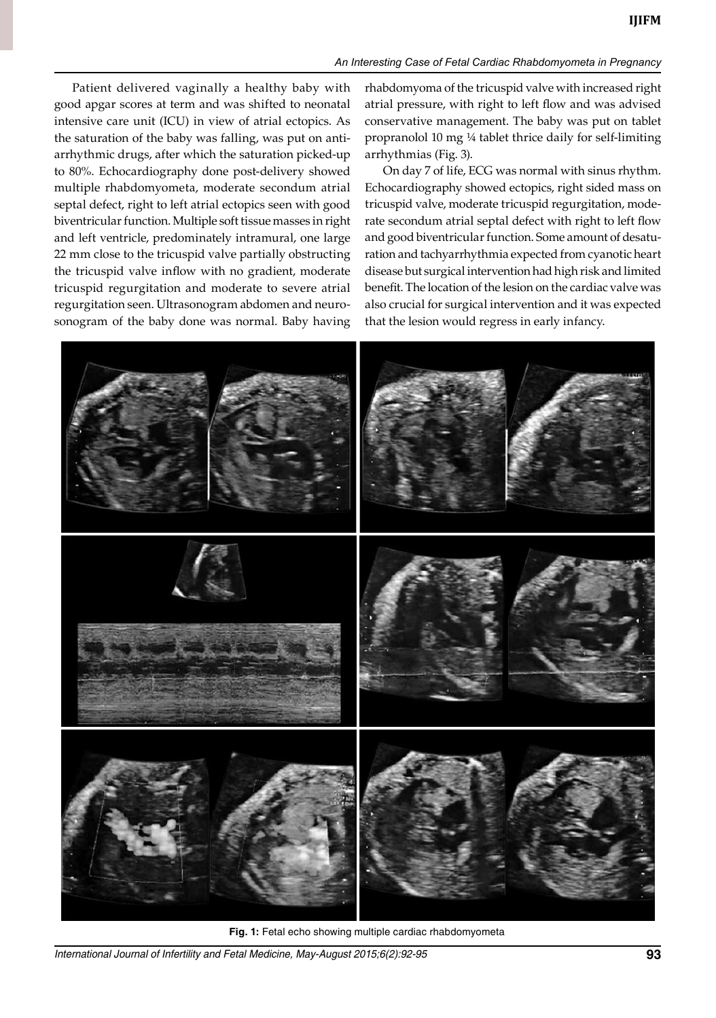## *An Interesting Case of Fetal Cardiac Rhabdomyometa in Pregnancy*

Patient delivered vaginally a healthy baby with good apgar scores at term and was shifted to neonatal intensive care unit (ICU) in view of atrial ectopics. As the saturation of the baby was falling, was put on antiarrhythmic drugs, after which the saturation picked-up to 80%. Echocardiography done post-delivery showed multiple rhabdomyometa, moderate secondum atrial septal defect, right to left atrial ectopics seen with good biventricular function. Multiple soft tissue masses in right and left ventricle, predominately intramural, one large 22 mm close to the tricuspid valve partially obstructing the tricuspid valve inflow with no gradient, moderate tricuspid regurgitation and moderate to severe atrial regurgitation seen. Ultrasonogram abdomen and neurosonogram of the baby done was normal. Baby having

rhabdomyoma of the tricuspid valve with increased right atrial pressure, with right to left flow and was advised conservative management. The baby was put on tablet propranolol 10 mg ¼ tablet thrice daily for self-limiting arrhythmias (Fig. 3).

On day 7 of life, ECG was normal with sinus rhythm. Echocardiography showed ectopics, right sided mass on tricuspid valve, moderate tricuspid regurgitation, moderate secondum atrial septal defect with right to left flow and good biventricular function. Some amount of desaturation and tachyarrhythmia expected from cyanotic heart disease but surgical intervention had high risk and limited benefit. The location of the lesion on the cardiac valve was also crucial for surgical intervention and it was expected that the lesion would regress in early infancy.



Fig. 1: Fetal echo showing multiple cardiac rhabdomyometa

*International Journal of Infertility and Fetal Medicine, May-August 2015;6(2):92-95* **93**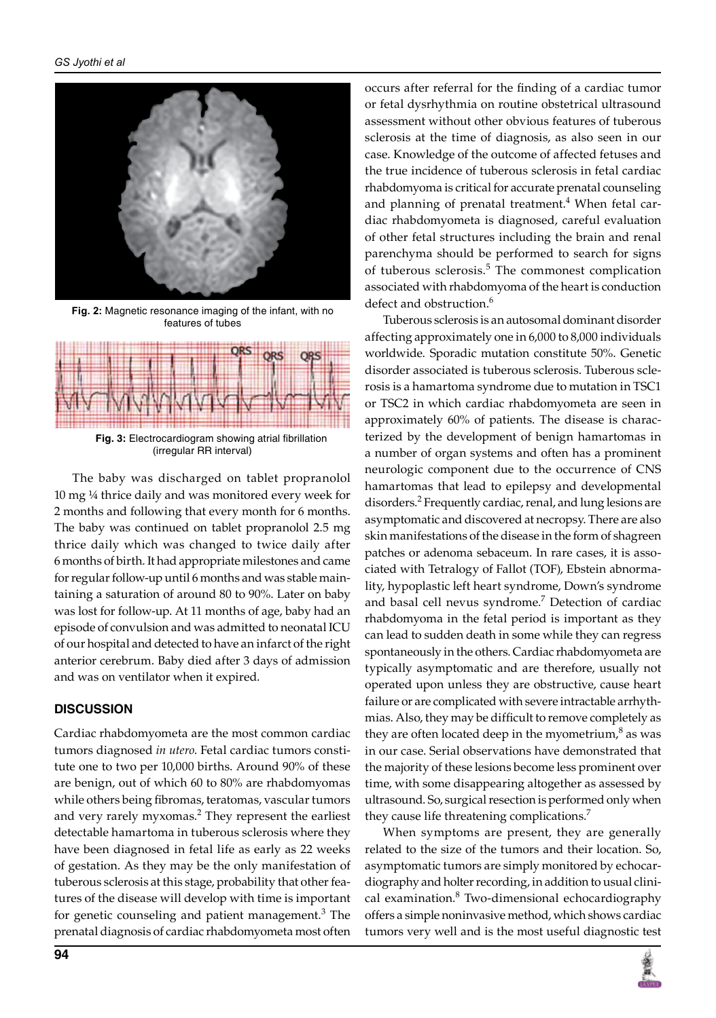

**Fig. 2:** Magnetic resonance imaging of the infant, with no features of tubes



**Fig. 3:** Electrocardiogram showing atrial fibrillation (irregular RR interval)

The baby was discharged on tablet propranolol 10 mg ¼ thrice daily and was monitored every week for 2 months and following that every month for 6 months. The baby was continued on tablet propranolol 2.5 mg thrice daily which was changed to twice daily after 6 months of birth. It had appropriate milestones and came for regular follow-up until 6 months and was stable maintaining a saturation of around 80 to 90%. Later on baby was lost for follow-up. At 11 months of age, baby had an episode of convulsion and was admitted to neonatal ICU of our hospital and detected to have an infarct of the right anterior cerebrum. Baby died after 3 days of admission and was on ventilator when it expired.

# **DISCUSSION**

Cardiac rhabdomyometa are the most common cardiac tumors diagnosed *in utero*. Fetal cardiac tumors constitute one to two per 10,000 births. Around 90% of these are benign, out of which 60 to 80% are rhabdomyomas while others being fibromas, teratomas, vascular tumors and very rarely myxomas.<sup>2</sup> They represent the earliest detectable hamartoma in tuberous sclerosis where they have been diagnosed in fetal life as early as 22 weeks of gestation. As they may be the only manifestation of tuberous sclerosis at this stage, probability that other features of the disease will develop with time is important for genetic counseling and patient management.<sup>3</sup> The prenatal diagnosis of cardiac rhabdomyometa most often

occurs after referral for the finding of a cardiac tumor or fetal dysrhythmia on routine obstetrical ultrasound assessment without other obvious features of tuberous sclerosis at the time of diagnosis, as also seen in our case. Knowledge of the outcome of affected fetuses and the true incidence of tuberous sclerosis in fetal cardiac rhabdomyoma is critical for accurate prenatal counseling and planning of prenatal treatment.<sup>4</sup> When fetal cardiac rhabdomyometa is diagnosed, careful evaluation of other fetal structures including the brain and renal parenchyma should be performed to search for signs of tuberous sclerosis.<sup>5</sup> The commonest complication associated with rhabdomyoma of the heart is conduction defect and obstruction.<sup>6</sup>

Tuberous sclerosis is an autosomal dominant disorder affecting approximately one in 6,000 to 8,000 individuals worldwide. Sporadic mutation constitute 50%. Genetic disorder associated is tuberous sclerosis. Tuberous sclerosis is a hamartoma syndrome due to mutation in TSC1 or TSC2 in which cardiac rhabdomyometa are seen in approximately 60% of patients. The disease is characterized by the development of benign hamartomas in a number of organ systems and often has a prominent neurologic component due to the occurrence of CNS hamartomas that lead to epilepsy and developmental disorders.2 Frequently cardiac, renal, and lung lesions are asymptomatic and discovered at necropsy. There are also skin manifestations of the disease in the form of shagreen patches or adenoma sebaceum. In rare cases, it is associated with tetralogy of Fallot (TOF), Ebstein abnormality, hypoplastic left heart syndrome, Down's syndrome and basal cell nevus syndrome.<sup>7</sup> Detection of cardiac rhabdomyoma in the fetal period is important as they can lead to sudden death in some while they can regress spontaneously in the others. Cardiac rhabdomyometa are typically asymptomatic and are therefore, usually not operated upon unless they are obstructive, cause heart failure or are complicated with severe intractable arrhythmias. Also, they may be difficult to remove completely as they are often located deep in the myometrium, $^8$  as was in our case. Serial observations have demonstrated that the majority of these lesions become less prominent over time, with some disappearing altogether as assessed by ultrasound. So, surgical resection is performed only when they cause life threatening complications.<sup>7</sup>

When symptoms are present, they are generally related to the size of the tumors and their location. So, asymptomatic tumors are simply monitored by echocardiography and holter recording, in addition to usual clinical examination.<sup>8</sup> Two-dimensional echocardiography offers a simple noninvasive method, which shows cardiac tumors very well and is the most useful diagnostic test